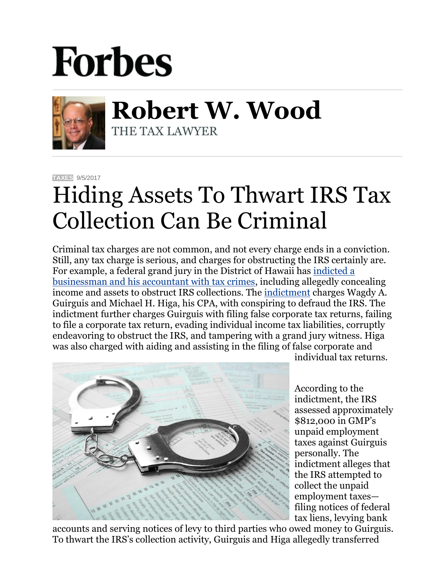## **Forbes**



**Robert W. Wood** THE TAX LAWYER

**[TAXES](https://www.forbes.com/taxes)** 9/5/2017

## Hiding Assets To Thwart IRS Tax Collection Can Be Criminal

Criminal tax charges are not common, and not every charge ends in a conviction. Still, any tax charge is serious, and charges for obstructing the IRS certainly are. For example, a federal grand jury in the District of Hawaii has [indicted a](https://www.justice.gov/opa/pr/owner-engineering-firms-and-cpa-charged-hawaii-tax-crimes)  [businessman and his accountant with tax crimes,](https://www.justice.gov/opa/pr/owner-engineering-firms-and-cpa-charged-hawaii-tax-crimes) including allegedly concealing income and assets to obstruct IRS collections. The [indictment](https://www.justice.gov/opa/press-release/file/994346/download) charges Wagdy A. Guirguis and Michael H. Higa, his CPA, with conspiring to defraud the IRS. The indictment further charges Guirguis with filing false corporate tax returns, failing to file a corporate tax return, evading individual income tax liabilities, corruptly endeavoring to obstruct the IRS, and tampering with a grand jury witness. Higa was also charged with aiding and assisting in the filing of false corporate and



individual tax returns.

According to the indictment, the IRS assessed approximately \$812,000 in GMP's unpaid employment taxes against Guirguis personally. The indictment alleges that the IRS attempted to collect the unpaid employment taxes filing notices of federal tax liens, levying bank

accounts and serving notices of levy to third parties who owed money to Guirguis. To thwart the IRS's collection activity, Guirguis and Higa allegedly transferred